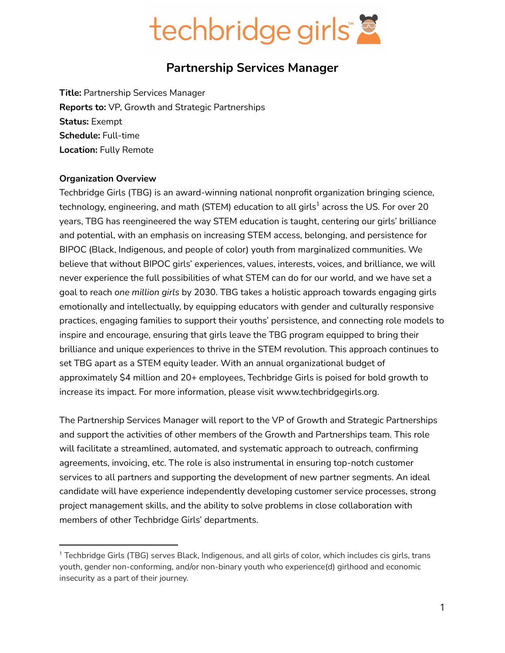

## **Partnership Services Manager**

**Title:** Partnership Services Manager **Reports to:** VP, Growth and Strategic Partnerships **Status:** Exempt **Schedule:** Full-time **Location:** Fully Remote

#### **Organization Overview**

Techbridge Girls (TBG) is an award-winning national nonprofit organization bringing science, technology, engineering, and math (STEM) education to all girls $^{\rm 1}$  across the US. For over 20 years, TBG has reengineered the way STEM education is taught, centering our girls' brilliance and potential, with an emphasis on increasing STEM access, belonging, and persistence for BIPOC (Black, Indigenous, and people of color) youth from marginalized communities. We believe that without BIPOC girls' experiences, values, interests, voices, and brilliance, we will never experience the full possibilities of what STEM can do for our world, and we have set a goal to reach *one million girls* by 2030. TBG takes a holistic approach towards engaging girls emotionally and intellectually, by equipping educators with gender and culturally responsive practices, engaging families to support their youths' persistence, and connecting role models to inspire and encourage, ensuring that girls leave the TBG program equipped to bring their brilliance and unique experiences to thrive in the STEM revolution. This approach continues to set TBG apart as a STEM equity leader. With an annual organizational budget of approximately \$4 million and 20+ employees, Techbridge Girls is poised for bold growth to increase its impact. For more information, please visit www.techbridgegirls.org.

The Partnership Services Manager will report to the VP of Growth and Strategic Partnerships and support the activities of other members of the Growth and Partnerships team. This role will facilitate a streamlined, automated, and systematic approach to outreach, confirming agreements, invoicing, etc. The role is also instrumental in ensuring top-notch customer services to all partners and supporting the development of new partner segments. An ideal candidate will have experience independently developing customer service processes, strong project management skills, and the ability to solve problems in close collaboration with members of other Techbridge Girls' departments.

<sup>&</sup>lt;sup>1</sup> Techbridge Girls (TBG) serves Black, Indigenous, and all girls of color, which includes cis girls, trans youth, gender non-conforming, and/or non-binary youth who experience(d) girlhood and economic insecurity as a part of their journey.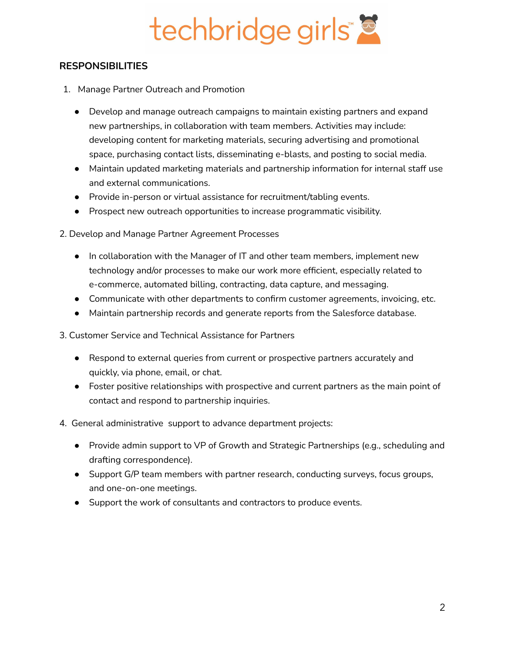# techbridge girls"

### **RESPONSIBILITIES**

- 1. Manage Partner Outreach and Promotion
	- Develop and manage outreach campaigns to maintain existing partners and expand new partnerships, in collaboration with team members. Activities may include: developing content for marketing materials, securing advertising and promotional space, purchasing contact lists, disseminating e-blasts, and posting to social media.
	- Maintain updated marketing materials and partnership information for internal staff use and external communications.
	- Provide in-person or virtual assistance for recruitment/tabling events.
	- Prospect new outreach opportunities to increase programmatic visibility.
- 2. Develop and Manage Partner Agreement Processes
	- In collaboration with the Manager of IT and other team members, implement new technology and/or processes to make our work more efficient, especially related to e-commerce, automated billing, contracting, data capture, and messaging.
	- Communicate with other departments to confirm customer agreements, invoicing, etc.
	- Maintain partnership records and generate reports from the Salesforce database.
- 3. Customer Service and Technical Assistance for Partners
	- Respond to external queries from current or prospective partners accurately and quickly, via phone, email, or chat.
	- Foster positive relationships with prospective and current partners as the main point of contact and respond to partnership inquiries.
- 4. General administrative support to advance department projects:
	- Provide admin support to VP of Growth and Strategic Partnerships (e.g., scheduling and drafting correspondence).
	- Support G/P team members with partner research, conducting surveys, focus groups, and one-on-one meetings.
	- Support the work of consultants and contractors to produce events.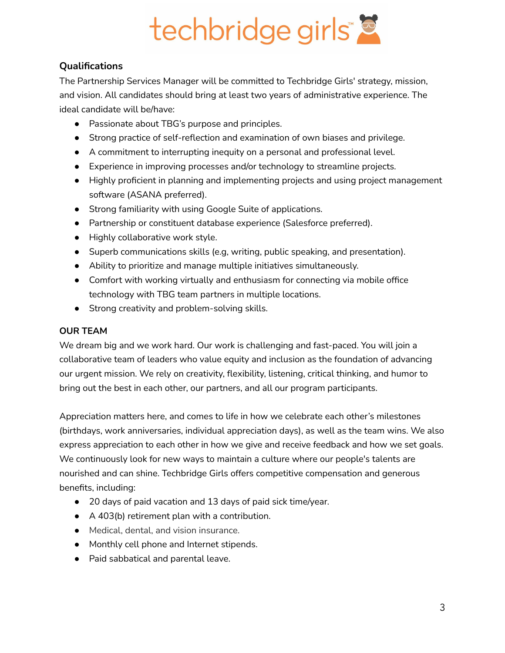

## **Qualifications**

The Partnership Services Manager will be committed to Techbridge Girls' strategy, mission, and vision. All candidates should bring at least two years of administrative experience. The ideal candidate will be/have:

- Passionate about TBG's purpose and principles.
- Strong practice of self-reflection and examination of own biases and privilege.
- A commitment to interrupting inequity on a personal and professional level.
- Experience in improving processes and/or technology to streamline projects.
- Highly proficient in planning and implementing projects and using project management software (ASANA preferred).
- Strong familiarity with using Google Suite of applications.
- Partnership or constituent database experience (Salesforce preferred).
- Highly collaborative work style.
- Superb communications skills (e.g, writing, public speaking, and presentation).
- Ability to prioritize and manage multiple initiatives simultaneously.
- Comfort with working virtually and enthusiasm for connecting via mobile office technology with TBG team partners in multiple locations.
- Strong creativity and problem-solving skills.

#### **OUR TEAM**

We dream big and we work hard. Our work is challenging and fast-paced. You will join a collaborative team of leaders who value equity and inclusion as the foundation of advancing our urgent mission. We rely on creativity, flexibility, listening, critical thinking, and humor to bring out the best in each other, our partners, and all our program participants.

Appreciation matters here, and comes to life in how we celebrate each other's milestones (birthdays, work anniversaries, individual appreciation days), as well as the team wins. We also express appreciation to each other in how we give and receive feedback and how we set goals. We continuously look for new ways to maintain a culture where our people's talents are nourished and can shine. Techbridge Girls offers competitive compensation and generous benefits, including:

- 20 days of paid vacation and 13 days of paid sick time/year.
- A 403(b) retirement plan with a contribution.
- Medical, dental, and vision insurance.
- Monthly cell phone and Internet stipends.
- Paid sabbatical and parental leave.